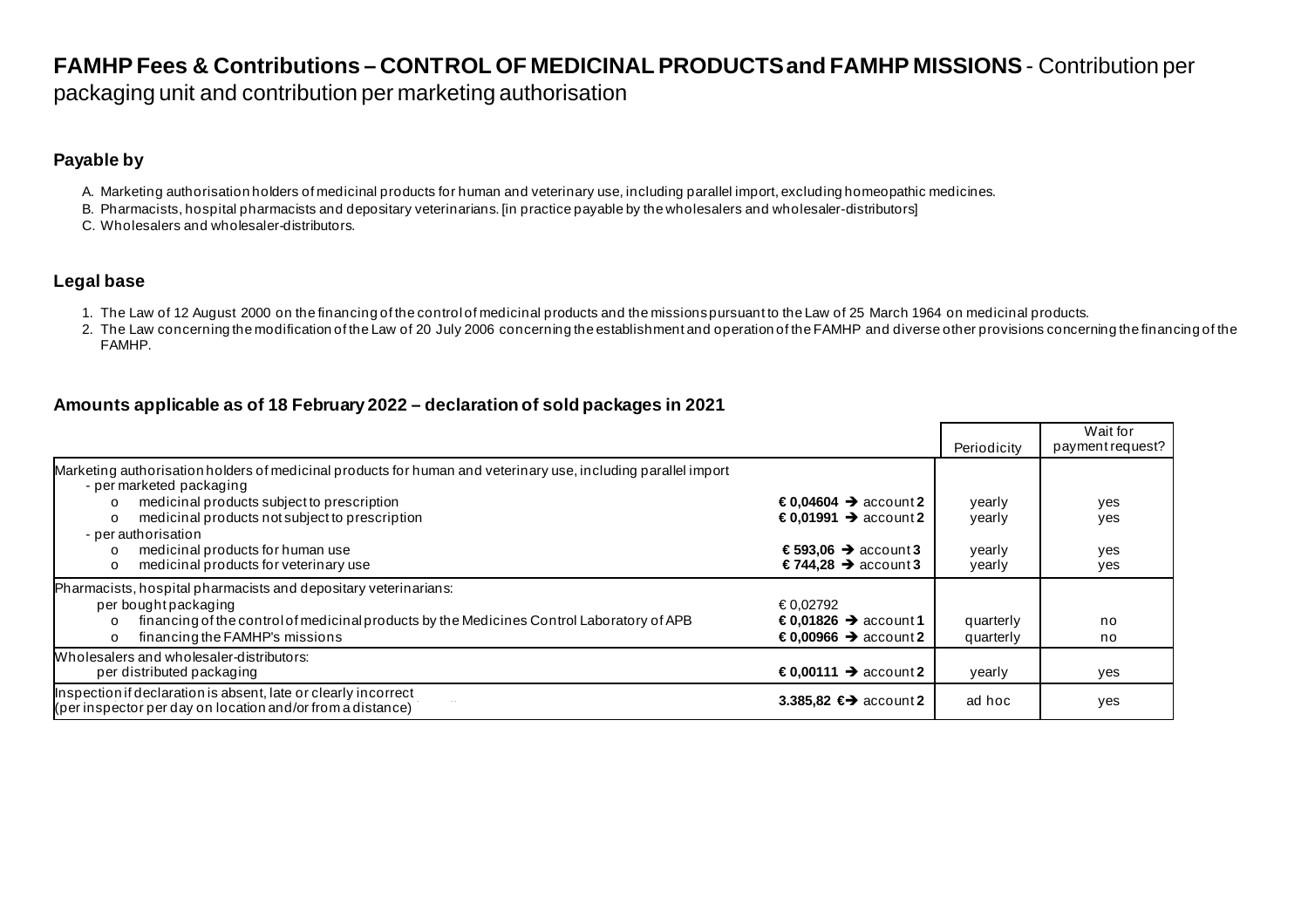# **FAMHP Fees & Contributions – CONTROL OF MEDICINAL PRODUCTS and FAMHP MISSIONS** - Contribution per

packaging unit and contribution per marketing authorisation

## **Payable by**

- A. Marketing authorisation holders of medicinal products for human and veterinary use, including parallel import, excluding homeopathic medicines.
- B. Pharmacists, hospital pharmacists and depositary veterinarians. [in practice payable by the wholesalers and wholesaler-distributors]
- C. Wholesalers and wholesaler-distributors.

### **Legal base**

- 1. The Law of 12 August 2000 on the financing of the control of medicinal products and the missions pursuant to the Law of 25 March 1964 on medicinal products.
- 2. The Law concerning the modification of the Law of 20 July 2006 concerning the establishment and operation of the FAMHP and diverse other provisions concerning the financing of the FAMHP.

## **Amounts applicable as of 18 February 2022 – declaration of sold packages in 2021**

|                                                                                                                                                                                                                                                       |                                                                                                      | Periodicity                | Wait for<br>payment request? |
|-------------------------------------------------------------------------------------------------------------------------------------------------------------------------------------------------------------------------------------------------------|------------------------------------------------------------------------------------------------------|----------------------------|------------------------------|
| Marketing authorisation holders of medicinal products for human and veterinary use, including parallel import<br>- per marketed packaging<br>medicinal products subject to prescription<br>$\Omega$<br>medicinal products not subject to prescription | $\epsilon$ 0,04604 $\rightarrow$ account 2<br>€0,01991 $\rightarrow$ account 2                       | yearly                     | yes                          |
| $\circ$<br>- per authorisation<br>medicinal products for human use<br>$\Omega$<br>medicinal products for veterinary use<br>$\circ$                                                                                                                    | €593,06 $\rightarrow$ account 3<br>€744.28 $\rightarrow$ account 3                                   | yearly<br>yearly<br>yearly | yes<br>yes<br>yes            |
| Pharmacists, hospital pharmacists and depositary veterinarians:<br>per bought packaging<br>financing of the control of medicinal products by the Medicines Control Laboratory of APB<br>$\Omega$<br>financing the FAMHP's missions<br>$\Omega$        | €0.02792<br>$\epsilon$ 0.01826 $\rightarrow$ account 1<br>$\epsilon$ 0.00966 $\rightarrow$ account 2 | quarterly<br>quarterly     | no<br>no                     |
| Wholesalers and wholesaler-distributors:<br>per distributed packaging                                                                                                                                                                                 | $\epsilon$ 0,00111 → account2                                                                        | yearly                     | yes                          |
| Inspection if declaration is absent, late or clearly incorrect<br>(per inspector per day on location and/or from a distance)                                                                                                                          | 3.385,82 $\leftrightarrow$ account 2                                                                 | ad hoc                     | yes                          |